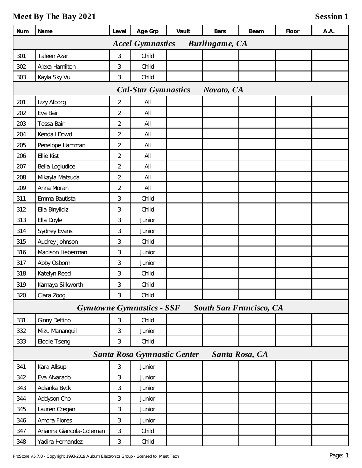| Num                                              | Name                     | Level          | Age Grp                          | Vault | Bars                           | Beam | Floor | A.A. |
|--------------------------------------------------|--------------------------|----------------|----------------------------------|-------|--------------------------------|------|-------|------|
| <b>Accel Gymnastics</b><br><b>Burlingame, CA</b> |                          |                |                                  |       |                                |      |       |      |
| 301                                              | Taleen Azar              | 3              | Child                            |       |                                |      |       |      |
| 302                                              | Alexa Hamilton           | 3              | Child                            |       |                                |      |       |      |
| 303                                              | Kayla Sky Vu             | 3              | Child                            |       |                                |      |       |      |
| <b>Cal-Star Gymnastics</b><br>Novato, CA         |                          |                |                                  |       |                                |      |       |      |
| 201                                              | Izzy Alborg              | $\overline{2}$ | All                              |       |                                |      |       |      |
| 202                                              | Eva Bair                 | $\overline{2}$ | All                              |       |                                |      |       |      |
| 203                                              | Tessa Bair               | $\overline{2}$ | All                              |       |                                |      |       |      |
| 204                                              | Kendall Dowd             | $\overline{2}$ | All                              |       |                                |      |       |      |
| 205                                              | Penelope Hamman          | $\overline{2}$ | All                              |       |                                |      |       |      |
| 206                                              | Ellie Kist               | $\overline{2}$ | All                              |       |                                |      |       |      |
| 207                                              | Bella Logiudice          | $\overline{2}$ | All                              |       |                                |      |       |      |
| 208                                              | Mikayla Matsuda          | $\overline{2}$ | All                              |       |                                |      |       |      |
| 209                                              | Anna Moran               | $\overline{2}$ | $\mathsf{All}$                   |       |                                |      |       |      |
| 311                                              | Emma Bautista            | 3              | Child                            |       |                                |      |       |      |
| 312                                              | Ella Binyildiz           | 3              | Child                            |       |                                |      |       |      |
| 313                                              | Ella Doyle               | 3              | Junior                           |       |                                |      |       |      |
| 314                                              | Sydney Evans             | 3              | Junior                           |       |                                |      |       |      |
| 315                                              | Audrey Johnson           | 3              | Child                            |       |                                |      |       |      |
| 316                                              | Madison Lieberman        | 3              | Junior                           |       |                                |      |       |      |
| 317                                              | Abby Osborn              | 3              | Junior                           |       |                                |      |       |      |
| 318                                              | Katelyn Reed             | 3              | Child                            |       |                                |      |       |      |
| 319                                              | Kamaya Silkworth         | 3              | Child                            |       |                                |      |       |      |
| 320                                              | Clara Zoog               | 3              | Child                            |       |                                |      |       |      |
|                                                  |                          |                | <b>Gymtowne Gymnastics - SSF</b> |       | <b>South San Francisco, CA</b> |      |       |      |
| 331                                              | Ginny Delfino            | 3              | Child                            |       |                                |      |       |      |
| 332                                              | Mizu Mananquil           | 3              | Junior                           |       |                                |      |       |      |
| 333                                              | Elodie Tseng             | 3              | Child                            |       |                                |      |       |      |
| Santa Rosa Gymnastic Center<br>Santa Rosa, CA    |                          |                |                                  |       |                                |      |       |      |
| 341                                              | Kara Allsup              | 3              | Junior                           |       |                                |      |       |      |
| 342                                              | Eva Alvarado             | 3              | Junior                           |       |                                |      |       |      |
| 343                                              | Adianka Byck             | $\sqrt{3}$     | Junior                           |       |                                |      |       |      |
| 344                                              | Addyson Cho              | 3              | Junior                           |       |                                |      |       |      |
| 345                                              | Lauren Cregan            | $\sqrt{3}$     | Junior                           |       |                                |      |       |      |
| 346                                              | Amora Flores             | 3              | Junior                           |       |                                |      |       |      |
| 347                                              | Arianna Giancola-Coleman | $\mathfrak{Z}$ | Child                            |       |                                |      |       |      |
| 348                                              | Yadira Hernandez         | 3              | Child                            |       |                                |      |       |      |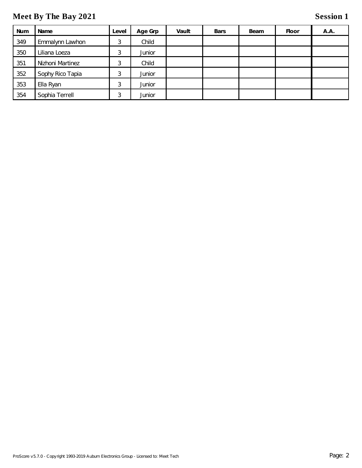| <b>Num</b> | Name             | Level | Age Grp | Vault | <b>Bars</b> | Beam | Floor | A.A. |
|------------|------------------|-------|---------|-------|-------------|------|-------|------|
| 349        | Emmalynn Lawhon  | 3     | Child   |       |             |      |       |      |
| 350        | Liliana Loeza    | 3     | Junior  |       |             |      |       |      |
| 351        | Nizhoni Martinez | 3     | Child   |       |             |      |       |      |
| 352        | Sophy Rico Tapia | 3     | Junior  |       |             |      |       |      |
| 353        | Ella Ryan        | 3     | Junior  |       |             |      |       |      |
| 354        | Sophia Terrell   | 3     | Junior  |       |             |      |       |      |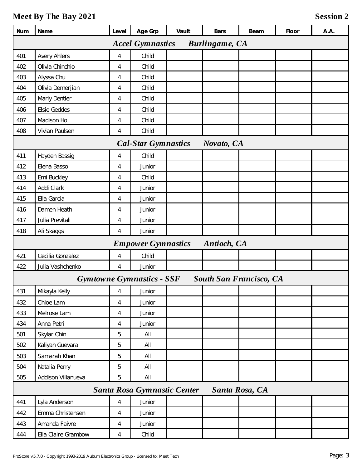| Num                                              | Name                | Level          | Age Grp                          | Vault | <b>Bars</b> | Beam                           | Floor | A.A. |
|--------------------------------------------------|---------------------|----------------|----------------------------------|-------|-------------|--------------------------------|-------|------|
| <b>Accel Gymnastics</b><br><b>Burlingame, CA</b> |                     |                |                                  |       |             |                                |       |      |
| 401                                              | <b>Avery Ahlers</b> | $\overline{4}$ | Child                            |       |             |                                |       |      |
| 402                                              | Olivia Chinchio     | 4              | Child                            |       |             |                                |       |      |
| 403                                              | Alyssa Chu          | 4              | Child                            |       |             |                                |       |      |
| 404                                              | Olivia Demerjian    | 4              | Child                            |       |             |                                |       |      |
| 405                                              | Marly Dentler       | 4              | Child                            |       |             |                                |       |      |
| 406                                              | Elsie Geddes        | 4              | Child                            |       |             |                                |       |      |
| 407                                              | Madison Ho          | 4              | Child                            |       |             |                                |       |      |
| 408                                              | Vivian Paulsen      | 4              | Child                            |       |             |                                |       |      |
|                                                  |                     |                | <b>Cal-Star Gymnastics</b>       |       | Novato, CA  |                                |       |      |
| 411                                              | Hayden Bassig       | 4              | Child                            |       |             |                                |       |      |
| 412                                              | Elena Basso         | 4              | Junior                           |       |             |                                |       |      |
| 413                                              | Emi Buckley         | 4              | Child                            |       |             |                                |       |      |
| 414                                              | Addi Clark          | 4              | Junior                           |       |             |                                |       |      |
| 415                                              | Ella Garcia         | 4              | Junior                           |       |             |                                |       |      |
| 416                                              | Damen Heath         | 4              | Junior                           |       |             |                                |       |      |
| 417                                              | Julia Previtali     | 4              | Junior                           |       |             |                                |       |      |
| 418                                              | Ali Skaggs          | 4              | Junior                           |       |             |                                |       |      |
|                                                  |                     |                | <b>Empower Gymnastics</b>        |       | Antioch, CA |                                |       |      |
| 421                                              | Cecilia Gonzalez    | $\overline{4}$ | Child                            |       |             |                                |       |      |
| 422                                              | Julia Vashchenko    | 4              | Junior                           |       |             |                                |       |      |
|                                                  |                     |                | <b>Gymtowne Gymnastics - SSF</b> |       |             | <b>South San Francisco, CA</b> |       |      |
| 431                                              | Mikayla Kelly       | $\overline{4}$ | Junior                           |       |             |                                |       |      |
| 432                                              | Chloe Lam           | 4              | Junior                           |       |             |                                |       |      |
| 433                                              | Melrose Lam         | $\overline{4}$ | Junior                           |       |             |                                |       |      |
| 434                                              | Anna Petri          | $\overline{4}$ | Junior                           |       |             |                                |       |      |
| 501                                              | Skylar Chin         | 5              | All                              |       |             |                                |       |      |
| 502                                              | Kaliyah Guevara     | 5              | All                              |       |             |                                |       |      |
| 503                                              | Samarah Khan        | 5              | All                              |       |             |                                |       |      |
| 504                                              | Natalia Perry       | 5              | All                              |       |             |                                |       |      |
| 505                                              | Addison Villanueva  | 5              | All                              |       |             |                                |       |      |
| Santa Rosa Gymnastic Center<br>Santa Rosa, CA    |                     |                |                                  |       |             |                                |       |      |
| 441                                              | Lyla Anderson       | 4              | Junior                           |       |             |                                |       |      |
| 442                                              | Emma Christensen    | 4              | Junior                           |       |             |                                |       |      |
| 443                                              | Amanda Faivre       | $\overline{4}$ | Junior                           |       |             |                                |       |      |
| 444                                              | Ella Claire Grambow | 4              | Child                            |       |             |                                |       |      |